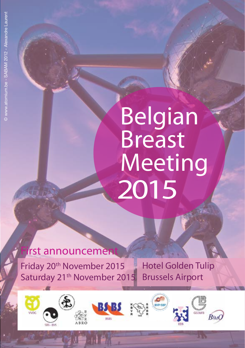# Belgian Breast Meeting 2015

# **i**rst announcement

 $10/2$ 

Friday 20<sup>th</sup> November 2015 Saturday 21<sup>th</sup> November 2015 Hotel Golden Tulip Brussels Airport

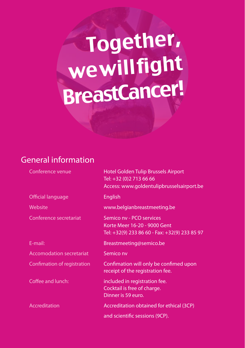# Together, we will fight BreastCancer!

### General information

| Conference venue                | Hotel Golden Tulip Brussels Airport<br>Tel: +32 (0)2 713 66 66<br>Access: www.goldentulipbrusselsairport.be |
|---------------------------------|-------------------------------------------------------------------------------------------------------------|
| Official language               | English                                                                                                     |
| Website                         | www.belgianbreastmeeting.be                                                                                 |
| Conference secretariat          | Semico ny - PCO services<br>Korte Meer 16-20 - 9000 Gent<br>Tel: +32(9) 233 86 60 - Fax: +32(9) 233 85 97   |
| E-mail:                         | Breastmeeting@semico.be                                                                                     |
| <b>Accomodation secretariat</b> | Semico nv                                                                                                   |
| Confimation of registration     | Confimation will only be confimed upon<br>receipt of the registration fee.                                  |
| Coffee and lunch:               | included in registration fee.<br>Cocktail is free of charge.<br>Dinner is 59 euro.                          |
| Accreditation                   | Accreditation obtained for ethical (3CP)                                                                    |
|                                 | and scientific sessions (9CP).                                                                              |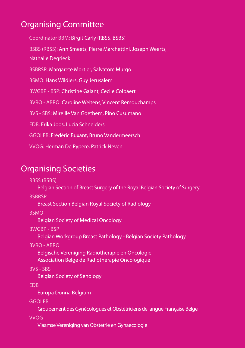### Organising Committee

Coordinator BBM: Birgit Carly (RBSS, BSBS) BSBS (RBSS): Ann Smeets, Pierre Marchettini, Joseph Weerts, Nathalie Degrieck BSBRSR: Margarete Mortier, Salvatore Murgo BSMO: Hans Wildiers, Guy Jerusalem BWGBP - BSP: Christine Galant, Cecile Colpaert BVRO - ABRO: Caroline Weltens, Vincent Remouchamps BVS - SBS: Mireille Van Goethem, Pino Cusumano EDB: Erika Joos, Lucia Schneiders GGOLFB: Frédéric Buxant, Bruno Vandermeersch VVOG: Herman De Pypere, Patrick Neven

#### Organising Societies

RBSS (BSBS)

Belgian Section of Breast Surgery of the Royal Belgian Society of Surgery

**BSBRSR** 

Breast Section Belgian Royal Society of Radiology

**BSMO** 

Belgian Society of Medical Oncology

BWGBP - BSP

Belgian Workgroup Breast Pathology - Belgian Society Pathology

BVRO - ABRO

Belgische Vereniging Radiotherapie en Oncologie Association Belge de Radiothérapie Oncologique

BVS - SBS

Belgian Society of Senology

EDB

Europa Donna Belgium

**GGOLFB** 

Groupement des Gynécologues et Obstétriciens de langue Française Belge

VVOG

Vlaamse Vereniging van Obstetrie en Gynaecologie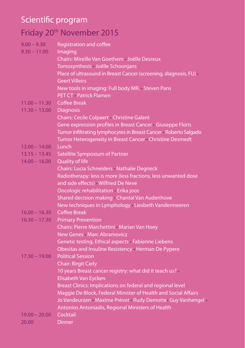## Scientific program

# Friday 20th November 2015

| $9.00 - 9.30$   | <b>Registration and coffee</b>                                  |
|-----------------|-----------------------------------------------------------------|
| $9.30 - 11.00$  | Imaging                                                         |
|                 | Chairs: Mireille Van Goethem Joëlle Desreux                     |
|                 | Tomosynthesis Joëlle Schoonjans                                 |
|                 | Place of ultrasound in Breast Cancer (screening, diagnosis, FU) |
|                 | <b>Geert Villeirs</b>                                           |
|                 | New tools in imaging: Full body MR. Steven Pans                 |
|                 | PET CT Patrick Flamen                                           |
| $11.00 - 11.30$ | <b>Coffee Break</b>                                             |
| $11.30 - 13.00$ | <b>Diagnosis</b>                                                |
|                 | Chairs: Cecile Colpaert Christine Galant                        |
|                 | Gene expression profiles in Breast Cancer Giuseppe Floris       |
|                 | Tumor infiltrating lymphocytes in Breast Cancer Roberto Salgado |
|                 | Tumor Heterogeneity in Breast Cancer Christine Desmedt          |
| $13.00 - 14.00$ | Lunch                                                           |
| $13.15 - 13.45$ | Satellite Symposium of Partner                                  |
| $14.00 - 16.00$ | Quality of life                                                 |
|                 | Chairs: Lucia Schneiders Nathalie Degrieck                      |
|                 | Radiotherapy: less is more (less fractions, less unwanted dose  |
|                 | and side effects) Wilfried De Neve                              |
|                 | Oncologic rehabilitation Erika joos                             |
|                 | Shared decision making Chantal Van Audenhove                    |
|                 | New techniques in Lymphology Liesbeth Vandermeeren              |
| $16.00 - 16.30$ | <b>Coffee Break</b>                                             |
| $16.30 - 17.30$ | <b>Primary Prevention</b>                                       |
|                 | Chairs: Pierre Marchettini Marian Van Hoey                      |
|                 | New Genes Marc Abramovicz                                       |
|                 | Genetic testing, Ethical aspects Fabienne Liebens               |
|                 | Obesitas and Insuline Resistency Herman De Pypere               |
| $17.30 - 19.00$ | <b>Political Session</b>                                        |
|                 | <b>Chair: Birgit Carly</b>                                      |
|                 | 10 years Breast cancer registry: what did it teach us?          |
|                 | Elisabeth Van Eycken                                            |
|                 | Breast Clinics: Implications on federal and regional level      |
|                 | Maggie De Block, Federal Minister of Health and Social Affairs  |
|                 | Jo Vandeurzen Maxime Prévot Rudy Demotte Guy Vanhengel          |
|                 | Antonios Antoniadis, Regional Ministers of Health               |
| $19.00 - 20.00$ | Cocktail                                                        |
| 20.00           | <b>Dinner</b>                                                   |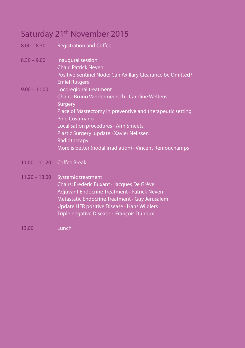### Saturday 21<sup>th</sup> November 2015

| 8.00 – 8.30 |  | <b>Registration and Coffee</b> |  |  |
|-------------|--|--------------------------------|--|--|
|-------------|--|--------------------------------|--|--|

| $8.30 - 9.00$  | Inaugural session                                          |
|----------------|------------------------------------------------------------|
|                | <b>Chair: Patrick Neven</b>                                |
|                | Positive Sentinel Node: Can Axillary Clearance be Omitted? |
|                | <b>Emiel Rutgers</b>                                       |
| $9.00 - 11.00$ | Locoregional treatment                                     |
|                | Chairs: Bruno Vandermeersch Caroline Weltens               |
|                | Surgery                                                    |
|                | Place of Mastectomy in preventive and therapeutic setting  |
|                | Pino Cusumano                                              |
|                | Localisation procedures Ann Smeets                         |
|                |                                                            |

Plastic Surgery: update • Xavier Nelissen Radiotherapy More is better (nodal irradiation) • Vincent Remouchamps

11.00 – 11.20 Coffee Break

#### 11.20 – 13.00 Systemic treatment Chairs: Fréderic Buxant • Jacques De Grève Adjuvant Endocrine Treatment • Patrick Neven Metastatic Endocrine Treatment • Guy Jerusalem Update HER positive Disease • Hans Wildiers Triple negative Disease • François Duhoux

13.00 Lunch